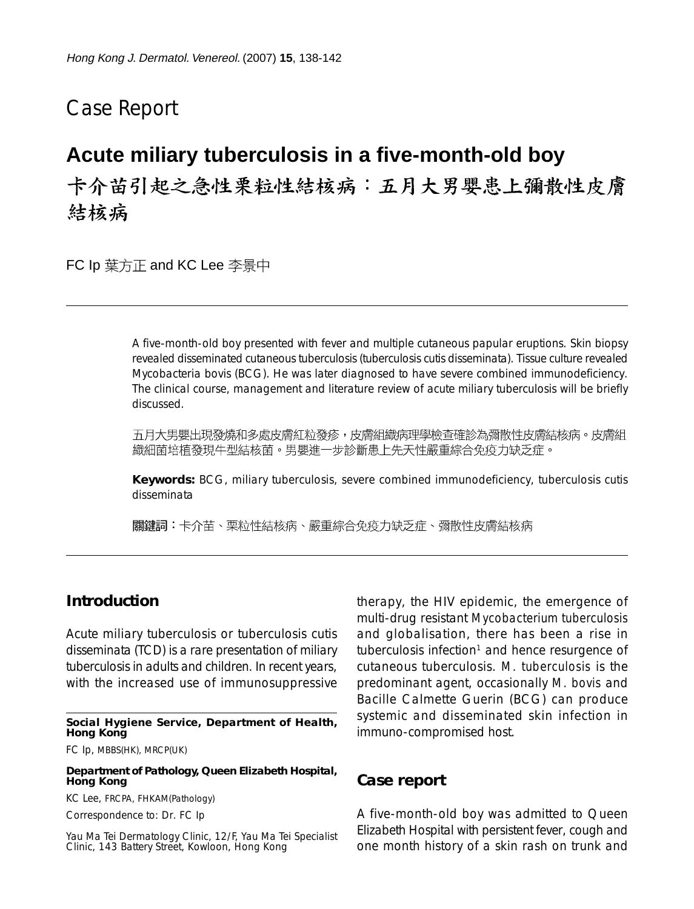# Case Report

## **Acute miliary tuberculosis in a five-month-old boy**

# 卡介苗引起之急性栗粒性結核病;五月大男嬰患上彌散性皮膚 結核病

FC Ip 葉方正 and KC Lee 李景中

A five-month-old boy presented with fever and multiple cutaneous papular eruptions. Skin biopsy revealed disseminated cutaneous tuberculosis (tuberculosis cutis disseminata). Tissue culture revealed Mycobacteria bovis (BCG). He was later diagnosed to have severe combined immunodeficiency. The clinical course, management and literature review of acute miliary tuberculosis will be briefly discussed.

五月大男嬰出現發燒和多處皮膚紅粒發疹,皮膚組織病理學檢查確診為彌散性皮膚結核病。皮膚組 織細菌培植發現牛型結核菌。男嬰進一步診斷患上先天性嚴重綜合免疫力缺乏症。

**Keywords:** BCG, miliary tuberculosis, severe combined immunodeficiency, tuberculosis cutis disseminata

關鍵詞:卡介苗、栗粒性結核病、嚴重綜合免疫力缺乏症、彌散性皮膚結核病

## **Introduction**

Acute miliary tuberculosis or tuberculosis cutis disseminata (TCD) is a rare presentation of miliary tuberculosis in adults and children. In recent years, with the increased use of immunosuppressive

**Social Hygiene Service, Department of Health, Hong Kong**

FC Ip, MBBS(HK), MRCP(UK)

#### **Department of Pathology, Queen Elizabeth Hospital, Hong Kong**

KC Lee, FRCPA, FHKAM(Pathology)

Correspondence to: Dr. FC Ip

Yau Ma Tei Dermatology Clinic, 12/F, Yau Ma Tei Specialist Clinic, 143 Battery Street, Kowloon, Hong Kong

therapy, the HIV epidemic, the emergence of multi-drug resistant *Mycobacterium tuberculosis* and globalisation, there has been a rise in tuberculosis infection<sup>1</sup> and hence resurgence of cutaneous tuberculosis. *M. tuberculosis* is the predominant agent, occasionally *M. bovis* and Bacille Calmette Guerin (BCG) can produce systemic and disseminated skin infection in immuno-compromised host.

### **Case report**

A five-month-old boy was admitted to Queen Elizabeth Hospital with persistent fever, cough and one month history of a skin rash on trunk and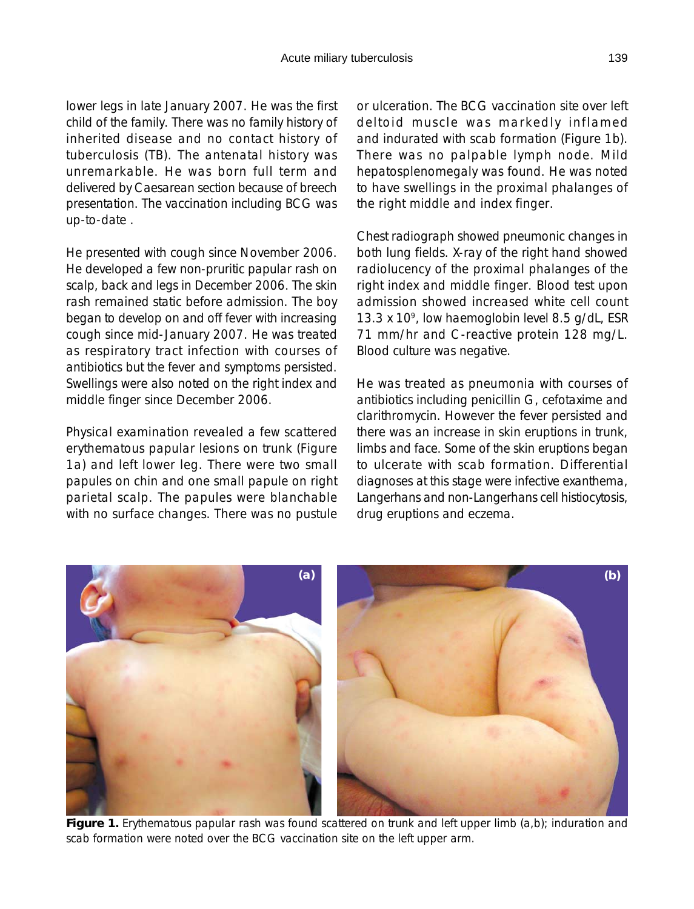lower legs in late January 2007. He was the first child of the family. There was no family history of inherited disease and no contact history of tuberculosis (TB). The antenatal history was unremarkable. He was born full term and delivered by Caesarean section because of breech presentation. The vaccination including BCG was up-to-date .

He presented with cough since November 2006. He developed a few non-pruritic papular rash on scalp, back and legs in December 2006. The skin rash remained static before admission. The boy began to develop on and off fever with increasing cough since mid-January 2007. He was treated as respiratory tract infection with courses of antibiotics but the fever and symptoms persisted. Swellings were also noted on the right index and middle finger since December 2006.

Physical examination revealed a few scattered erythematous papular lesions on trunk (Figure 1a) and left lower leg. There were two small papules on chin and one small papule on right parietal scalp. The papules were blanchable with no surface changes. There was no pustule or ulceration. The BCG vaccination site over left deltoid muscle was markedly inflamed and indurated with scab formation (Figure 1b). There was no palpable lymph node. Mild hepatosplenomegaly was found. He was noted to have swellings in the proximal phalanges of the right middle and index finger.

Chest radiograph showed pneumonic changes in both lung fields. X-ray of the right hand showed radiolucency of the proximal phalanges of the right index and middle finger. Blood test upon admission showed increased white cell count 13.3 x 109, low haemoglobin level 8.5 g/dL, ESR 71 mm/hr and C-reactive protein 128 mg/L. Blood culture was negative.

He was treated as pneumonia with courses of antibiotics including penicillin G, cefotaxime and clarithromycin. However the fever persisted and there was an increase in skin eruptions in trunk, limbs and face. Some of the skin eruptions began to ulcerate with scab formation. Differential diagnoses at this stage were infective exanthema, Langerhans and non-Langerhans cell histiocytosis, drug eruptions and eczema.



**Figure 1.** Erythematous papular rash was found scattered on trunk and left upper limb (a,b); induration and scab formation were noted over the BCG vaccination site on the left upper arm.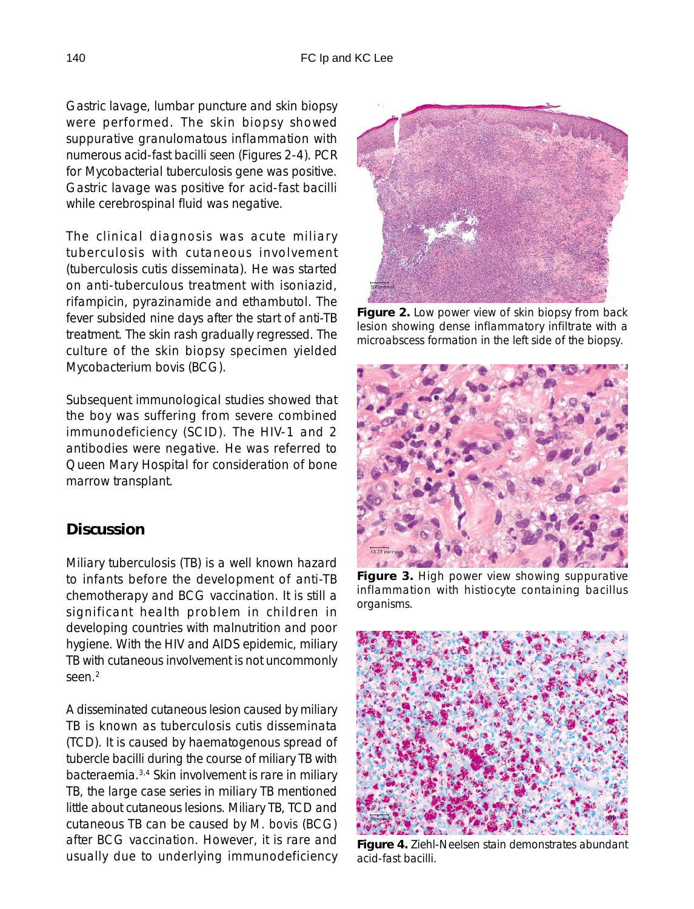Gastric lavage, lumbar puncture and skin biopsy were performed. The skin biopsy showed suppurative granulomatous inflammation with numerous acid-fast bacilli seen (Figures 2-4). PCR for Mycobacterial tuberculosis gene was positive. Gastric lavage was positive for acid-fast bacilli while cerebrospinal fluid was negative.

The clinical diagnosis was acute miliary tuberculosis with cutaneous involvement (tuberculosis cutis disseminata). He was started on anti-tuberculous treatment with isoniazid, rifampicin, pyrazinamide and ethambutol. The fever subsided nine days after the start of anti-TB treatment. The skin rash gradually regressed. The culture of the skin biopsy specimen yielded Mycobacterium bovis (BCG).

Subsequent immunological studies showed that the boy was suffering from severe combined immunodeficiency (SCID). The HIV-1 and 2 antibodies were negative. He was referred to Queen Mary Hospital for consideration of bone marrow transplant.

## **Discussion**

Miliary tuberculosis (TB) is a well known hazard to infants before the development of anti-TB chemotherapy and BCG vaccination. It is still a significant health problem in children in developing countries with malnutrition and poor hygiene. With the HIV and AIDS epidemic, miliary TB with cutaneous involvement is not uncommonly seen.<sup>2</sup>

A disseminated cutaneous lesion caused by miliary TB is known as tuberculosis cutis disseminata (TCD). It is caused by haematogenous spread of tubercle bacilli during the course of miliary TB with bacteraemia.3,4 Skin involvement is rare in miliary TB, the large case series in miliary TB mentioned little about cutaneous lesions. Miliary TB, TCD and cutaneous TB can be caused by *M. bovis* (BCG) after BCG vaccination. However, it is rare and usually due to underlying immunodeficiency



**Figure 2.** Low power view of skin biopsy from back lesion showing dense inflammatory infiltrate with a microabscess formation in the left side of the biopsy.



**Figure 3.** High power view showing suppurative inflammation with histiocyte containing bacillus organisms.



**Figure 4.** Ziehl-Neelsen stain demonstrates abundant acid-fast bacilli.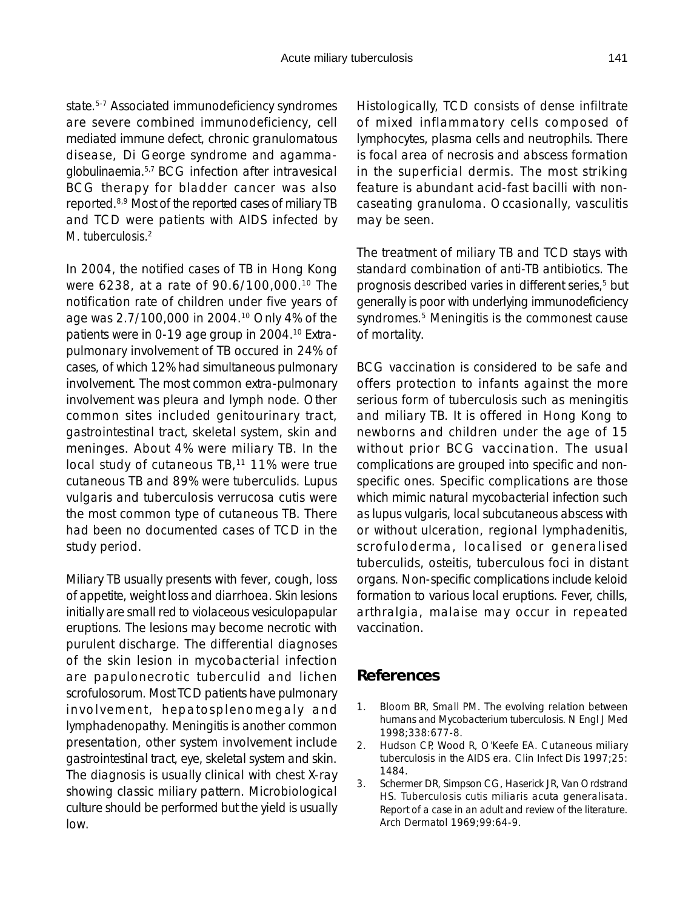state.5-7 Associated immunodeficiency syndromes are severe combined immunodeficiency, cell mediated immune defect, chronic granulomatous disease, Di George syndrome and agammaglobulinaemia.5,7 BCG infection after intravesical BCG therapy for bladder cancer was also reported.8,9 Most of the reported cases of miliary TB and TCD were patients with AIDS infected by *M. tuberculosis*. 2

In 2004, the notified cases of TB in Hong Kong were 6238, at a rate of 90.6/100,000.<sup>10</sup> The notification rate of children under five years of age was 2.7/100,000 in 2004.10 Only 4% of the patients were in 0-19 age group in 2004.<sup>10</sup> Extrapulmonary involvement of TB occured in 24% of cases, of which 12% had simultaneous pulmonary involvement. The most common extra-pulmonary involvement was pleura and lymph node. Other common sites included genitourinary tract, gastrointestinal tract, skeletal system, skin and meninges. About 4% were miliary TB. In the local study of cutaneous TB,<sup>11</sup> 11% were true cutaneous TB and 89% were tuberculids. Lupus vulgaris and tuberculosis verrucosa cutis were the most common type of cutaneous TB. There had been no documented cases of TCD in the study period.

Miliary TB usually presents with fever, cough, loss of appetite, weight loss and diarrhoea. Skin lesions initially are small red to violaceous vesiculopapular eruptions. The lesions may become necrotic with purulent discharge. The differential diagnoses of the skin lesion in mycobacterial infection are papulonecrotic tuberculid and lichen scrofulosorum. Most TCD patients have pulmonary involvement, hepatosplenomegaly and lymphadenopathy. Meningitis is another common presentation, other system involvement include gastrointestinal tract, eye, skeletal system and skin. The diagnosis is usually clinical with chest X-ray showing classic miliary pattern. Microbiological culture should be performed but the yield is usually low.

Histologically, TCD consists of dense infiltrate of mixed inflammatory cells composed of lymphocytes, plasma cells and neutrophils. There is focal area of necrosis and abscess formation in the superficial dermis. The most striking feature is abundant acid-fast bacilli with noncaseating granuloma. Occasionally, vasculitis may be seen.

The treatment of miliary TB and TCD stays with standard combination of anti-TB antibiotics. The prognosis described varies in different series,<sup>5</sup> but generally is poor with underlying immunodeficiency syndromes.<sup>5</sup> Meningitis is the commonest cause of mortality.

BCG vaccination is considered to be safe and offers protection to infants against the more serious form of tuberculosis such as meningitis and miliary TB. It is offered in Hong Kong to newborns and children under the age of 15 without prior BCG vaccination. The usual complications are grouped into specific and nonspecific ones. Specific complications are those which mimic natural mycobacterial infection such as lupus vulgaris, local subcutaneous abscess with or without ulceration, regional lymphadenitis, scrofuloderma, localised or generalised tuberculids, osteitis, tuberculous foci in distant organs. Non-specific complications include keloid formation to various local eruptions. Fever, chills, arthralgia, malaise may occur in repeated vaccination.

## **References**

- 1. Bloom BR, Small PM. The evolving relation between humans and Mycobacterium tuberculosis. N Engl J Med 1998;338:677-8.
- 2. Hudson CP, Wood R, O'Keefe EA. Cutaneous miliary tuberculosis in the AIDS era. Clin Infect Dis 1997;25: 1484.
- 3. Schermer DR, Simpson CG, Haserick JR, Van Ordstrand HS. Tuberculosis cutis miliaris acuta generalisata. Report of a case in an adult and review of the literature. Arch Dermatol 1969;99:64-9.